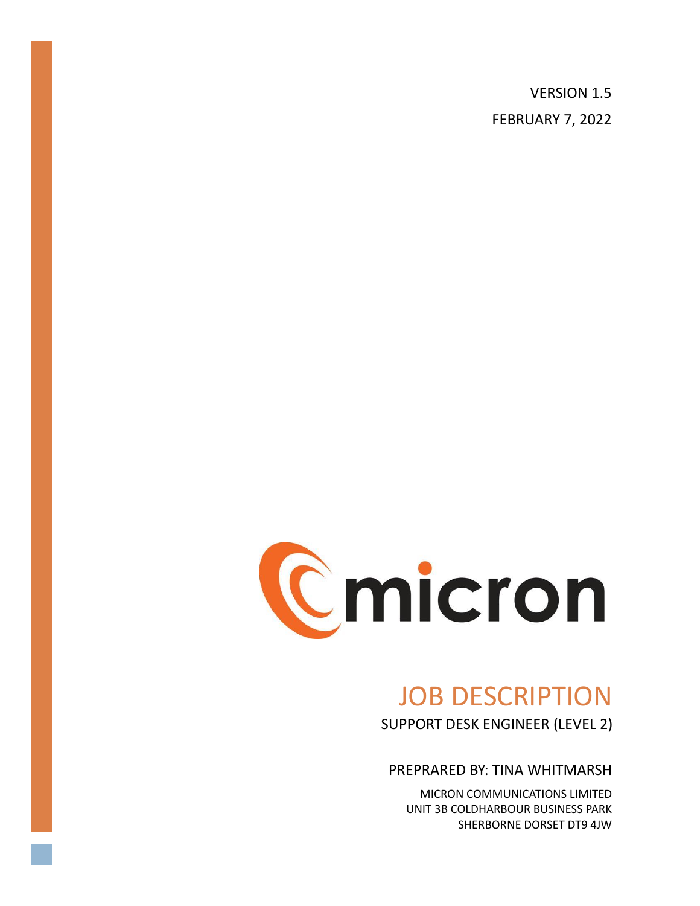VERSION 1.5 FEBRUARY 7, 2022



# JOB DESCRIPTION

SUPPORT DESK ENGINEER (LEVEL 2)

PREPRARED BY: TINA WHITMARSH

MICRON COMMUNICATIONS LIMITED UNIT 3B COLDHARBOUR BUSINESS PARK SHERBORNE DORSET DT9 4JW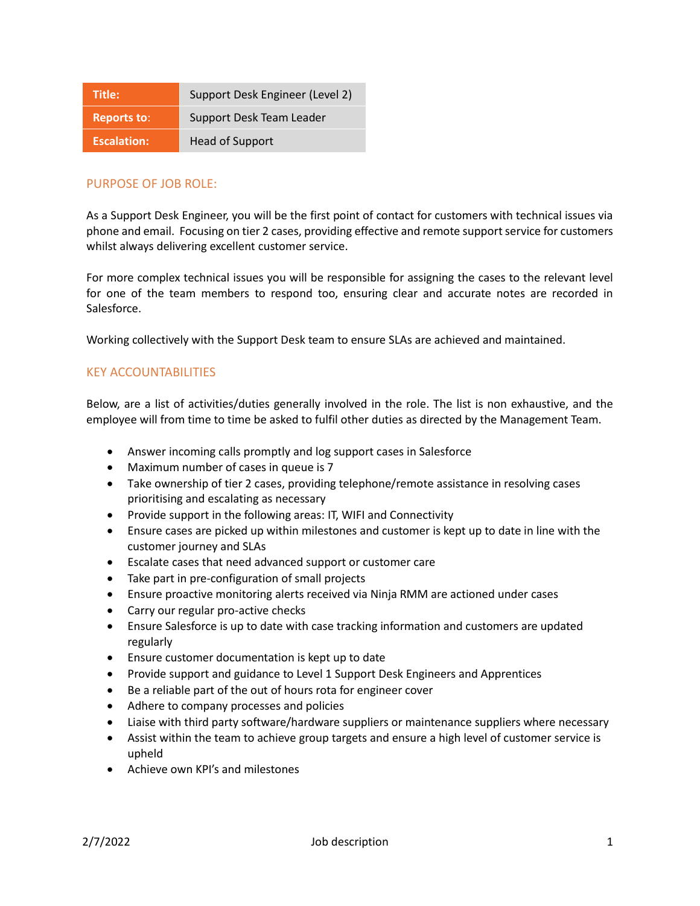| Title:             | Support Desk Engineer (Level 2) |
|--------------------|---------------------------------|
| <b>Reports to:</b> | Support Desk Team Leader        |
| <b>Escalation:</b> | <b>Head of Support</b>          |

## PURPOSE OF JOB ROLE:

As a Support Desk Engineer, you will be the first point of contact for customers with technical issues via phone and email. Focusing on tier 2 cases, providing effective and remote support service for customers whilst always delivering excellent customer service.

For more complex technical issues you will be responsible for assigning the cases to the relevant level for one of the team members to respond too, ensuring clear and accurate notes are recorded in Salesforce.

Working collectively with the Support Desk team to ensure SLAs are achieved and maintained.

### KEY ACCOUNTABILITIES

Below, are a list of activities/duties generally involved in the role. The list is non exhaustive, and the employee will from time to time be asked to fulfil other duties as directed by the Management Team.

- Answer incoming calls promptly and log support cases in Salesforce
- Maximum number of cases in queue is 7
- Take ownership of tier 2 cases, providing telephone/remote assistance in resolving cases prioritising and escalating as necessary
- Provide support in the following areas: IT, WIFI and Connectivity
- Ensure cases are picked up within milestones and customer is kept up to date in line with the customer journey and SLAs
- Escalate cases that need advanced support or customer care
- Take part in pre-configuration of small projects
- Ensure proactive monitoring alerts received via Ninja RMM are actioned under cases
- Carry our regular pro-active checks
- Ensure Salesforce is up to date with case tracking information and customers are updated regularly
- Ensure customer documentation is kept up to date
- Provide support and guidance to Level 1 Support Desk Engineers and Apprentices
- Be a reliable part of the out of hours rota for engineer cover
- Adhere to company processes and policies
- Liaise with third party software/hardware suppliers or maintenance suppliers where necessary
- Assist within the team to achieve group targets and ensure a high level of customer service is upheld
- Achieve own KPI's and milestones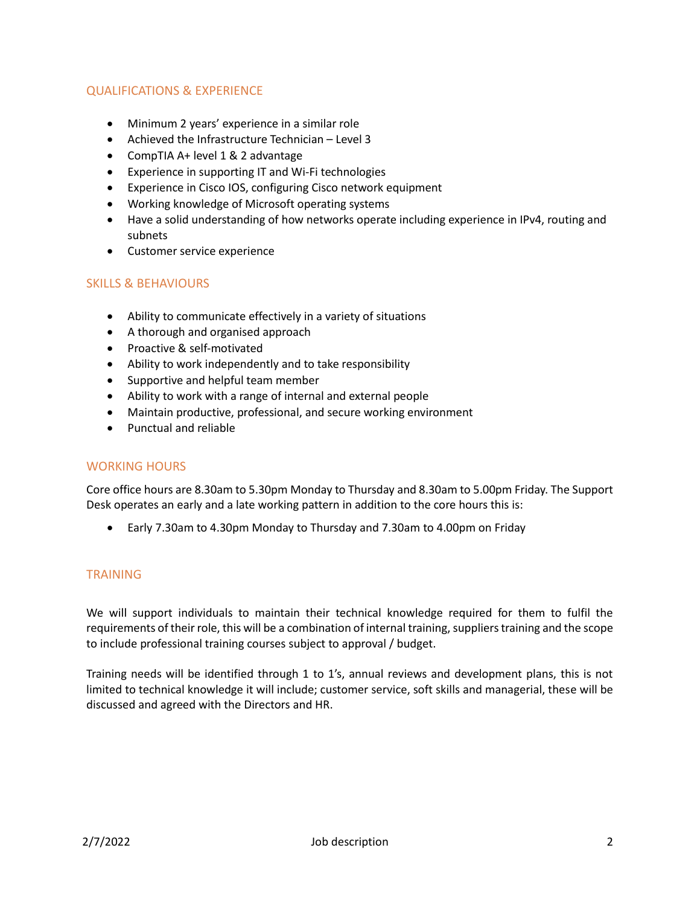## QUALIFICATIONS & EXPERIENCE

- Minimum 2 years' experience in a similar role
- Achieved the Infrastructure Technician Level 3
- CompTIA A+ level 1 & 2 advantage
- Experience in supporting IT and Wi-Fi technologies
- Experience in Cisco IOS, configuring Cisco network equipment
- Working knowledge of Microsoft operating systems
- Have a solid understanding of how networks operate including experience in IPv4, routing and subnets
- Customer service experience

### SKILLS & BEHAVIOURS

- Ability to communicate effectively in a variety of situations
- A thorough and organised approach
- Proactive & self-motivated
- Ability to work independently and to take responsibility
- Supportive and helpful team member
- Ability to work with a range of internal and external people
- Maintain productive, professional, and secure working environment
- Punctual and reliable

#### WORKING HOURS

Core office hours are 8.30am to 5.30pm Monday to Thursday and 8.30am to 5.00pm Friday. The Support Desk operates an early and a late working pattern in addition to the core hours this is:

• Early 7.30am to 4.30pm Monday to Thursday and 7.30am to 4.00pm on Friday

## TRAINING

We will support individuals to maintain their technical knowledge required for them to fulfil the requirements of their role, this will be a combination of internal training, suppliers training and the scope to include professional training courses subject to approval / budget.

Training needs will be identified through 1 to 1's, annual reviews and development plans, this is not limited to technical knowledge it will include; customer service, soft skills and managerial, these will be discussed and agreed with the Directors and HR.